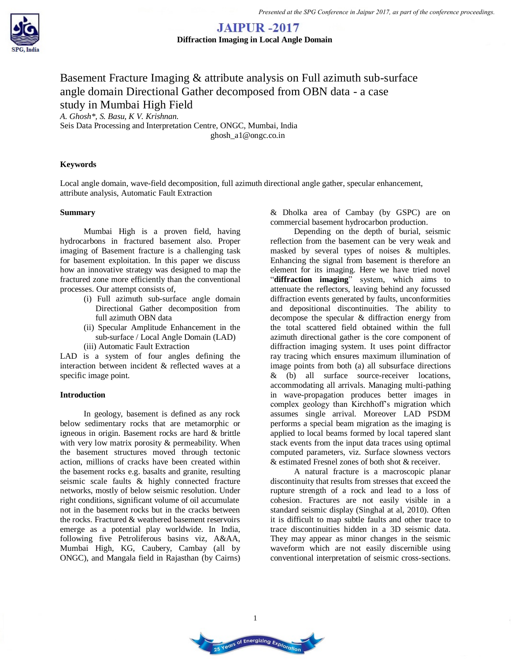

# Basement Fracture Imaging & attribute analysis on Full azimuth sub-surface angle domain Directional Gather decomposed from OBN data - a case study in Mumbai High Field

*A. Ghosh\*, S. Basu, K V. Krishnan.* Seis Data Processing and Interpretation Centre, ONGC, Mumbai, India ghosh\_a1@ongc.co.in

## **Keywords**

Local angle domain, wave-field decomposition, full azimuth directional angle gather, specular enhancement, attribute analysis, Automatic Fault Extraction

## **Summary**

Mumbai High is a proven field, having hydrocarbons in fractured basement also. Proper imaging of Basement fracture is a challenging task for basement exploitation. In this paper we discuss how an innovative strategy was designed to map the fractured zone more efficiently than the conventional processes. Our attempt consists of,

- (i) Full azimuth sub-surface angle domain Directional Gather decomposition from full azimuth OBN data
- (ii) Specular Amplitude Enhancement in the sub-surface / Local Angle Domain (LAD) (iii) Automatic Fault Extraction

LAD is a system of four angles defining the interaction between incident & reflected waves at a specific image point.

## **Introduction**

In geology, basement is defined as any rock below sedimentary rocks that are metamorphic or igneous in origin. Basement rocks are hard & brittle with very low matrix porosity & permeability. When the basement structures moved through tectonic action, millions of cracks have been created within the basement rocks e.g. basalts and granite, resulting seismic scale faults & highly connected fracture networks, mostly of below seismic resolution. Under right conditions, significant volume of oil accumulate not in the basement rocks but in the cracks between the rocks. Fractured & weathered basement reservoirs emerge as a potential play worldwide. In India, following five Petroliferous basins viz, A&AA, Mumbai High, KG, Caubery, Cambay (all by ONGC), and Mangala field in Rajasthan (by Cairns) & Dholka area of Cambay (by GSPC) are on commercial basement hydrocarbon production.

Depending on the depth of burial, seismic reflection from the basement can be very weak and masked by several types of noises & multiples. Enhancing the signal from basement is therefore an element for its imaging. Here we have tried novel "**diffraction imaging**" system, which aims to attenuate the reflectors, leaving behind any focussed diffraction events generated by faults, unconformities and depositional discontinuities. The ability to decompose the specular & diffraction energy from the total scattered field obtained within the full azimuth directional gather is the core component of diffraction imaging system. It uses point diffractor ray tracing which ensures maximum illumination of image points from both (a) all subsurface directions & (b) all surface source-receiver locations, accommodating all arrivals. Managing multi-pathing in wave-propagation produces better images in complex geology than Kirchhoff's migration which assumes single arrival. Moreover LAD PSDM performs a special beam migration as the imaging is applied to local beams formed by local tapered slant stack events from the input data traces using optimal computed parameters, viz. Surface slowness vectors & estimated Fresnel zones of both shot & receiver.

A natural fracture is a macroscopic planar discontinuity that results from stresses that exceed the rupture strength of a rock and lead to a loss of cohesion. Fractures are not easily visible in a standard seismic display (Singhal at al, 2010). Often it is difficult to map subtle faults and other trace to trace discontinuities hidden in a 3D seismic data. They may appear as minor changes in the seismic waveform which are not easily discernible using conventional interpretation of seismic cross-sections.



1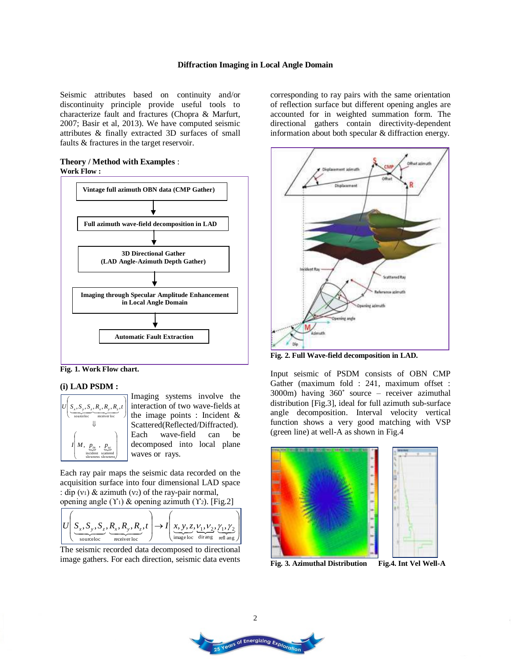Seismic attributes based on continuity and/or discontinuity principle provide useful tools to characterize fault and fractures (Chopra & Marfurt, 2007; Basir et al, 2013). We have computed seismic attributes & finally extracted 3D surfaces of small faults & fractures in the target reservoir.

## **Theory / Method with Examples** : **Work Flow :**





# **(i) LAD PSDM :**



Imaging systems involve the interaction of two wave-fields at the image points : Incident & Scattered(Reflected/Diffracted). Each wave-field can be decomposed into local plane waves or rays.

Each ray pair maps the seismic data recorded on the acquisition surface into four dimensional LAD space : dip (v<sub>1</sub>) & azimuth (v<sub>2</sub>) of the ray-pair normal, opening angle  $(Y_1)$  & opening azimuth  $(Y_2)$ . [Fig.2]

$$
U\left(\underbrace{S_x, S_y, S_z}_{\text{sourceloc}}, \underbrace{R_x, R_y, R_z}_{\text{receiverloc}}, t\right) \rightarrow I\left(\underbrace{x, y, z, V_1, V_2}_{\text{image loc}} , \underbrace{\gamma_1, \gamma_2}_{\text{string}}\right)
$$

The seismic recorded data decomposed to directional image gathers. For each direction, seismic data events corresponding to ray pairs with the same orientation of reflection surface but different opening angles are accounted for in weighted summation form. The directional gathers contain directivity-dependent information about both specular & diffraction energy.



**Fig. 2. Full Wave-field decomposition in LAD.** 

Input seismic of PSDM consists of OBN CMP Gather (maximum fold : 241, maximum offset : 3000m) having 360˚ source – receiver azimuthal distribution [Fig.3], ideal for full azimuth sub-surface angle decomposition. Interval velocity vertical function shows a very good matching with VSP (green line) at well-A as shown in Fig.4



**Fig. 3. Azimuthal Distribution** 

Fig.4. Int Vel Well-A

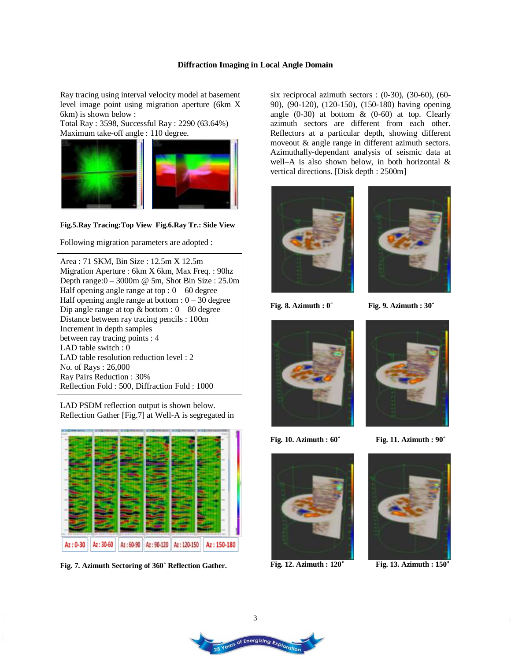Ray tracing using interval velocity model at basement level image point using migration aperture (6km X 6km) is shown below :

Total Ray : 3598, Successful Ray : 2290 (63.64%) Maximum take-off angle : 110 degree.



**Fig.5.Ray Tracing:Top View Fig.6.Ray Tr.: Side View** 

Following migration parameters are adopted :

Area : 71 SKM, Bin Size : 12.5m X 12.5m Migration Aperture : 6km X 6km, Max Freq. : 90hz Depth range: $0 - 3000$ m @ 5m, Shot Bin Size : 25.0m Half opening angle range at top :  $0 - 60$  degree Half opening angle range at bottom  $: 0 - 30$  degree Dip angle range at top  $&$  bottom :  $0 - 80$  degree Distance between ray tracing pencils : 100m Increment in depth samples between ray tracing points : 4 LAD table switch : 0 LAD table resolution reduction level : 2 No. of Rays : 26,000 Ray Pairs Reduction : 30% Reflection Fold : 500, Diffraction Fold : 1000

LAD PSDM reflection output is shown below. Reflection Gather [Fig.7] at Well-A is segregated in



**Fig. 7. Azimuth Sectoring of 360˚ Reflection Gather.** 

six reciprocal azimuth sectors :  $(0-30)$ ,  $(30-60)$ ,  $(60-$ 90), (90-120), (120-150), (150-180) having opening angle  $(0-30)$  at bottom  $\&$   $(0-60)$  at top. Clearly azimuth sectors are different from each other. Reflectors at a particular depth, showing different moveout & angle range in different azimuth sectors. Azimuthally-dependant analysis of seismic data at well–A is also shown below, in both horizontal & vertical directions. [Disk depth : 2500m]





**Fig. 8. Azimuth : 0˚ Fig. 9. Azimuth : 30˚**





**Fig. 10. Azimuth : 60˚ Fig. 11. Azimuth : 90˚**



**Fig. 12. Azimuth : 120˚ Fig. 13. Azimuth : 150˚**

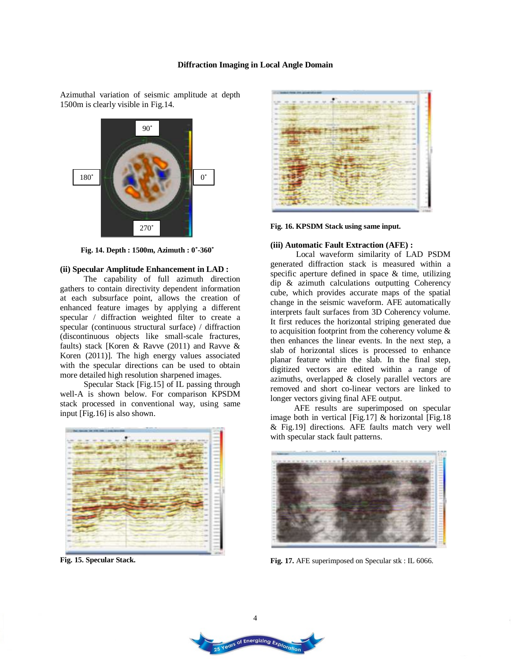Azimuthal variation of seismic amplitude at depth 1500m is clearly visible in Fig.14.



 **Fig. 14. Depth : 1500m, Azimuth : 0˚-360˚**

#### **(ii) Specular Amplitude Enhancement in LAD :**

The capability of full azimuth direction gathers to contain directivity dependent information at each subsurface point, allows the creation of enhanced feature images by applying a different specular / diffraction weighted filter to create a specular (continuous structural surface) / diffraction (discontinuous objects like small-scale fractures, faults) stack [Koren & Ravve (2011) and Ravve & Koren (2011)]. The high energy values associated with the specular directions can be used to obtain more detailed high resolution sharpened images.

Specular Stack [Fig.15] of IL passing through well-A is shown below. For comparison KPSDM stack processed in conventional way, using same input [Fig.16] is also shown.



**Fig. 15. Specular Stack.** 



**Fig. 16. KPSDM Stack using same input.** 

#### **(iii) Automatic Fault Extraction (AFE) :**

 Local waveform similarity of LAD PSDM generated diffraction stack is measured within a specific aperture defined in space & time, utilizing dip & azimuth calculations outputting Coherency cube, which provides accurate maps of the spatial change in the seismic waveform. AFE automatically interprets fault surfaces from 3D Coherency volume. It first reduces the horizontal striping generated due to acquisition footprint from the coherency volume & then enhances the linear events. In the next step, a slab of horizontal slices is processed to enhance planar feature within the slab. In the final step, digitized vectors are edited within a range of azimuths, overlapped & closely parallel vectors are removed and short co-linear vectors are linked to longer vectors giving final AFE output.

AFE results are superimposed on specular image both in vertical [Fig.17] & horizontal [Fig.18 & Fig.19] directions. AFE faults match very well with specular stack fault patterns.



**Fig. 17.** AFE superimposed on Specular stk : IL 6066.